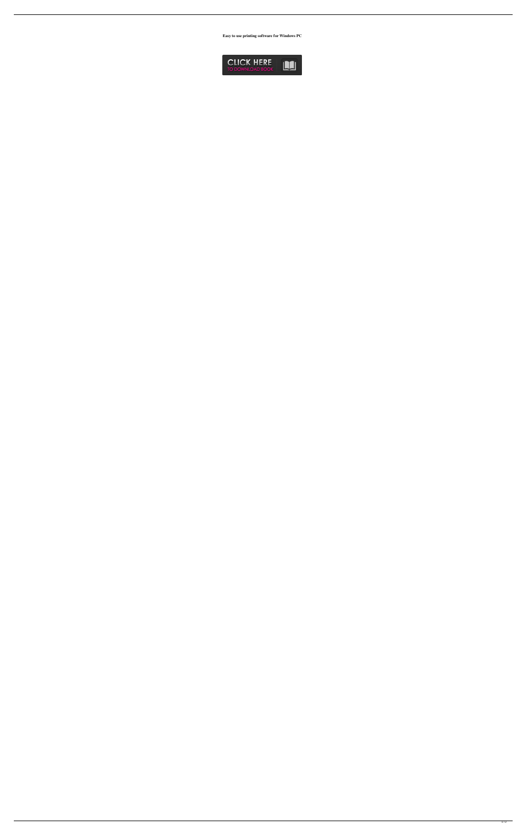**Easy to use printing software for Windows PC**